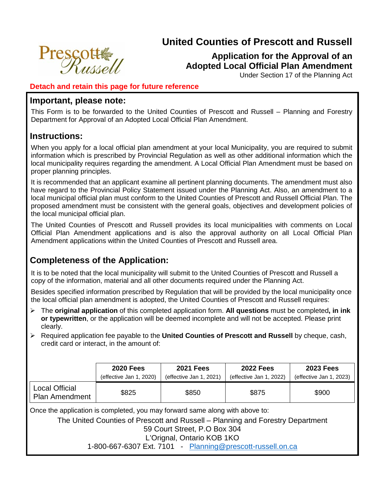# **United Counties of Prescott and Russell**



Under Section 17 of the Planning Act

### **Detach and retain this page for future reference**

### **Important, please note:**

**Prescott** 

This Form is to be forwarded to the United Counties of Prescott and Russell – Planning and Forestry Department for Approval of an Adopted Local Official Plan Amendment.

# **Instructions:**

When you apply for a local official plan amendment at your local Municipality, you are required to submit information which is prescribed by Provincial Regulation as well as other additional information which the local municipality requires regarding the amendment. A Local Official Plan Amendment must be based on proper planning principles.

It is recommended that an applicant examine all pertinent planning documents. The amendment must also have regard to the Provincial Policy Statement issued under the Planning Act. Also, an amendment to a local municipal official plan must conform to the United Counties of Prescott and Russell Official Plan. The proposed amendment must be consistent with the general goals, objectives and development policies of the local municipal official plan.

The United Counties of Prescott and Russell provides its local municipalities with comments on Local Official Plan Amendment applications and is also the approval authority on all Local Official Plan Amendment applications within the United Counties of Prescott and Russell area.

# **Completeness of the Application:**

It is to be noted that the local municipality will submit to the United Counties of Prescott and Russell a copy of the information, material and all other documents required under the Planning Act.

Besides specified information prescribed by Regulation that will be provided by the local municipality once the local official plan amendment is adopted, the United Counties of Prescott and Russell requires:

- The **original application** of this completed application form. **All questions** must be completed**, in ink or typewritten**, or the application will be deemed incomplete and will not be accepted. Please print clearly.
- Required application fee payable to the **United Counties of Prescott and Russell** by cheque, cash, credit card or interact, in the amount of:

|                                         | <b>2020 Fees</b>        | <b>2021 Fees</b>        | <b>2022 Fees</b>        | <b>2023 Fees</b>        |
|-----------------------------------------|-------------------------|-------------------------|-------------------------|-------------------------|
|                                         | (effective Jan 1, 2020) | (effective Jan 1, 2021) | (effective Jan 1, 2022) | (effective Jan 1, 2023) |
| Local Official<br><b>Plan Amendment</b> | \$825                   | \$850                   | \$875                   | \$900                   |

Once the application is completed, you may forward same along with above to:

The United Counties of Prescott and Russell – Planning and Forestry Department 59 Court Street, P.O Box 304

L'Orignal, Ontario KOB 1KO

1-800-667-6307 Ext. 7101 - [Planning@prescott-russell.on.ca](mailto:Planning@prescott-russell.on.ca)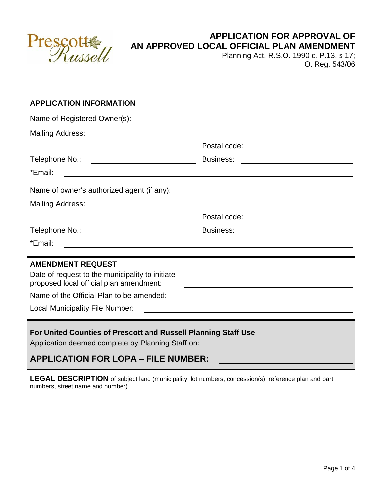

# **APPLICATION FOR APPROVAL OF AN APPROVED LOCAL OFFICIAL PLAN AMENDMENT**

Planning Act, R.S.O. 1990 c. P.13, s 17; O. Reg. 543/06

| <b>APPLICATION INFORMATION</b><br>Name of Registered Owner(s):                                                         |                                                                                                                       |  |  |  |
|------------------------------------------------------------------------------------------------------------------------|-----------------------------------------------------------------------------------------------------------------------|--|--|--|
|                                                                                                                        |                                                                                                                       |  |  |  |
| <u> 1989 - Johann Stoff, deutscher Stoffen und der Stoffen und der Stoffen und der Stoffen und der Stoffen und der</u> | Postal code: <u>__________________________</u>                                                                        |  |  |  |
| Telephone No.: <u>_________________________</u>                                                                        |                                                                                                                       |  |  |  |
| *Email:                                                                                                                | <u> 2000 - Andrea Andrea Andrea Andrea Andrea Andrea Andrea Andrea Andrea Andrea Andrea Andrea Andrea Andrea Andr</u> |  |  |  |
| Name of owner's authorized agent (if any):                                                                             | <u> 1989 - Johann Stoff, amerikansk politiker (d. 1989)</u>                                                           |  |  |  |
|                                                                                                                        |                                                                                                                       |  |  |  |
|                                                                                                                        | Postal code: <u>___________________________</u>                                                                       |  |  |  |
| Telephone No.: <u>_________________________</u>                                                                        | Business: <u>____________________________</u>                                                                         |  |  |  |
| *Email:                                                                                                                | <u> 1989 - Johann Stoff, amerikansk politiker (d. 1989)</u>                                                           |  |  |  |
| <b>AMENDMENT REQUEST</b>                                                                                               |                                                                                                                       |  |  |  |
| Date of request to the municipality to initiate<br>proposed local official plan amendment:                             |                                                                                                                       |  |  |  |
| Name of the Official Plan to be amended:                                                                               | <u> 1980 - Johann Stoff, deutscher Stoff, der Stoff, der Stoff, der Stoff, der Stoff, der Stoff, der Stoff, der S</u> |  |  |  |
| Local Municipality File Number:                                                                                        |                                                                                                                       |  |  |  |
| For United Counties of Prescott and Russell Planning Staff Use                                                         |                                                                                                                       |  |  |  |

Application deemed complete by Planning Staff on:

# **APPLICATION FOR LOPA – FILE NUMBER:**

**LEGAL DESCRIPTION** of subject land (municipality, lot numbers, concession(s), reference plan and part numbers, street name and number)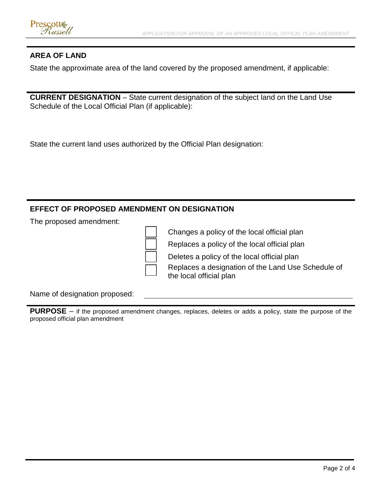### **AREA OF LAND**

State the approximate area of the land covered by the proposed amendment, if applicable:

**CURRENT DESIGNATION** – State current designation of the subject land on the Land Use Schedule of the Local Official Plan (if applicable):

State the current land uses authorized by the Official Plan designation:

### **EFFECT OF PROPOSED AMENDMENT ON DESIGNATION**

The proposed amendment:

Changes a policy of the local official plan

Replaces a policy of the local official plan

Deletes a policy of the local official plan

 Replaces a designation of the Land Use Schedule of the local official plan

Name of designation proposed:

**PURPOSE** – if the proposed amendment changes, replaces, deletes or adds a policy, state the purpose of the proposed official plan amendment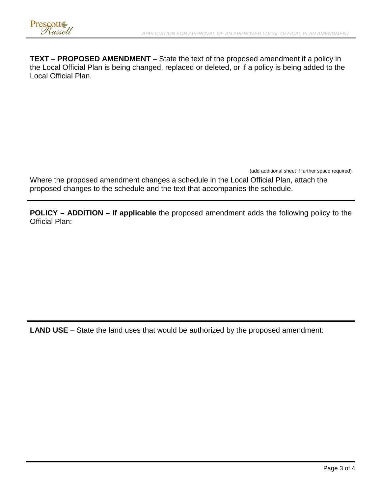

**TEXT – PROPOSED AMENDMENT** – State the text of the proposed amendment if a policy in the Local Official Plan is being changed, replaced or deleted, or if a policy is being added to the Local Official Plan.

(add additional sheet if further space required)

Where the proposed amendment changes a schedule in the Local Official Plan, attach the proposed changes to the schedule and the text that accompanies the schedule.

**POLICY – ADDITION – If applicable** the proposed amendment adds the following policy to the Official Plan:

**LAND USE** – State the land uses that would be authorized by the proposed amendment: